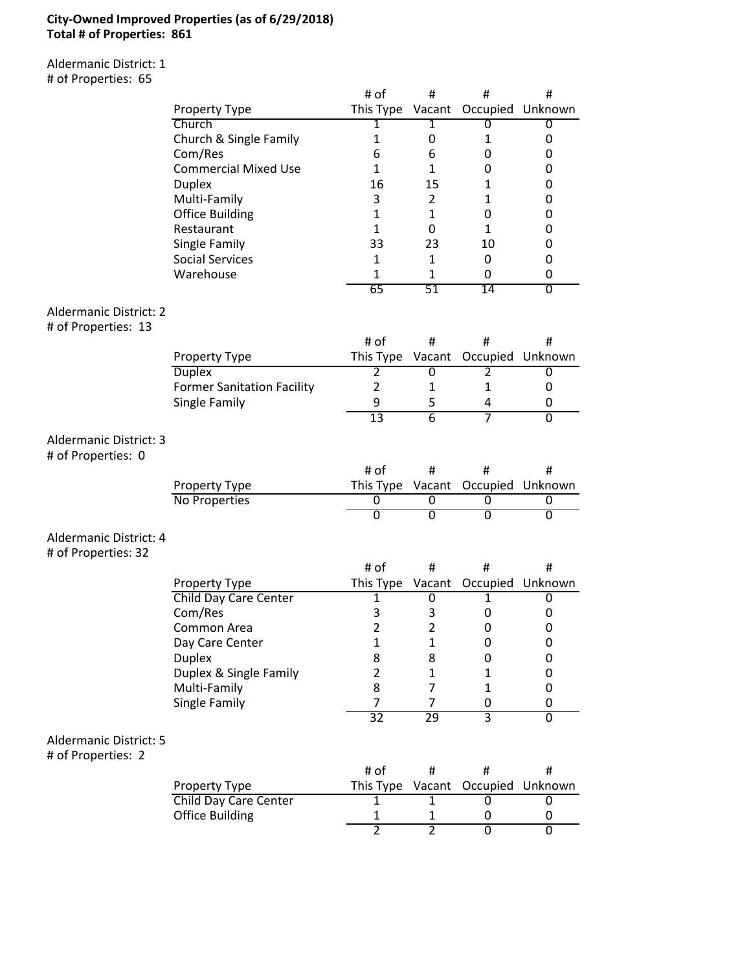### **City-Owned Improved Properties (as of 6/29/2018) Total # of Properties: 861**

Aldermanic District: 1 # of Properties: 65

|                                                      |                                        | # of                | #                              | #              | #                |
|------------------------------------------------------|----------------------------------------|---------------------|--------------------------------|----------------|------------------|
|                                                      |                                        |                     |                                |                |                  |
|                                                      | Property Type                          | This Type Vacant    |                                |                | Occupied Unknown |
|                                                      | Church                                 | 1                   | 1                              | 0              | 0                |
|                                                      | Church & Single Family                 | $\mathbf{1}$<br>6   | 0                              | 1              | 0                |
|                                                      | Com/Res<br><b>Commercial Mixed Use</b> |                     | 6<br>$\mathbf{1}$              | 0              | 0                |
|                                                      |                                        | 1<br>16             | 15                             | 0              | 0                |
|                                                      | <b>Duplex</b>                          |                     |                                | $\mathbf{1}$   | 0                |
|                                                      | Multi-Family                           | 3                   | $\overline{2}$                 | $\mathbf{1}$   | 0                |
|                                                      | <b>Office Building</b>                 | $\mathbf{1}$        | $\mathbf{1}$                   | 0              | 0                |
|                                                      | Restaurant                             | $\mathbf{1}$        | 0                              | $\mathbf{1}$   | 0                |
|                                                      | Single Family                          | 33                  | 23                             | 10             | 0                |
|                                                      | <b>Social Services</b>                 | 1                   | $\mathbf{1}$                   | 0              | 0                |
|                                                      | Warehouse                              | 1                   | $\mathbf{1}$                   | 0              | 0                |
|                                                      |                                        | 65                  | 51                             | 14             | 0                |
| <b>Aldermanic District: 2</b><br># of Properties: 13 |                                        |                     |                                |                |                  |
|                                                      |                                        | # of                | #                              | #              | #                |
|                                                      | Property Type                          | This Type           | Vacant                         |                | Occupied Unknown |
|                                                      | <b>Duplex</b>                          | 2                   | 0                              | 2              | 0                |
|                                                      | <b>Former Sanitation Facility</b>      | $\overline{2}$      | $\mathbf{1}$                   | $\mathbf{1}$   | 0                |
|                                                      | Single Family                          | 9                   | 5                              | 4              | 0                |
|                                                      |                                        | 13                  | $\overline{6}$                 | 7              | $\overline{0}$   |
| Aldermanic District: 3<br># of Properties: 0         |                                        |                     |                                |                |                  |
|                                                      |                                        | # of                | #                              | #              | #                |
|                                                      |                                        |                     |                                |                |                  |
|                                                      | Property Type                          | This Type Vacant    |                                |                | Occupied Unknown |
|                                                      | No Properties                          | 0                   | 0                              | 0              | 0                |
|                                                      |                                        | $\overline{0}$      | $\overline{0}$                 | $\overline{0}$ | $\overline{0}$   |
| Aldermanic District: 4<br># of Properties: 32        |                                        |                     |                                |                |                  |
|                                                      |                                        | # of                | #                              | #              | #                |
|                                                      | Property Type                          | This Type           | Vacant                         |                | Occupied Unknown |
|                                                      | Child Day Care Center                  | 1                   | 0                              | $\mathbf{1}$   | 0                |
|                                                      | Com/Res                                | 3                   | 3                              | 0              | 0                |
|                                                      | Common Area                            | 2                   | $\overline{2}$                 | 0              | 0                |
|                                                      | Day Care Center                        | 1                   | $\mathbf{1}$                   | 0              | 0                |
|                                                      | <b>Duplex</b>                          | 8                   | 8                              | 0              | 0                |
|                                                      | Duplex & Single Family                 | $\overline{2}$      | $\mathbf{1}$                   | 1              | 0                |
|                                                      | Multi-Family                           | 8                   | $\overline{7}$                 | $\mathbf{1}$   | 0                |
|                                                      | Single Family                          | 7                   | $\overline{7}$                 | 0              | 0                |
|                                                      |                                        | 32                  | 29                             | 3              | $\overline{0}$   |
| <b>Aldermanic District: 5</b><br># of Properties: 2  |                                        |                     |                                |                |                  |
|                                                      |                                        | # of                | #                              | #              | #                |
|                                                      | Property Type                          | This Type           | Vacant                         | Occupied       | Unknown          |
|                                                      | Child Day Care Center                  | 1                   | $\mathbf{1}$                   | 0              | 0                |
|                                                      | <b>Office Building</b>                 | 1<br>$\overline{2}$ | $\mathbf{1}$<br>$\overline{2}$ | 0<br>0         | 0                |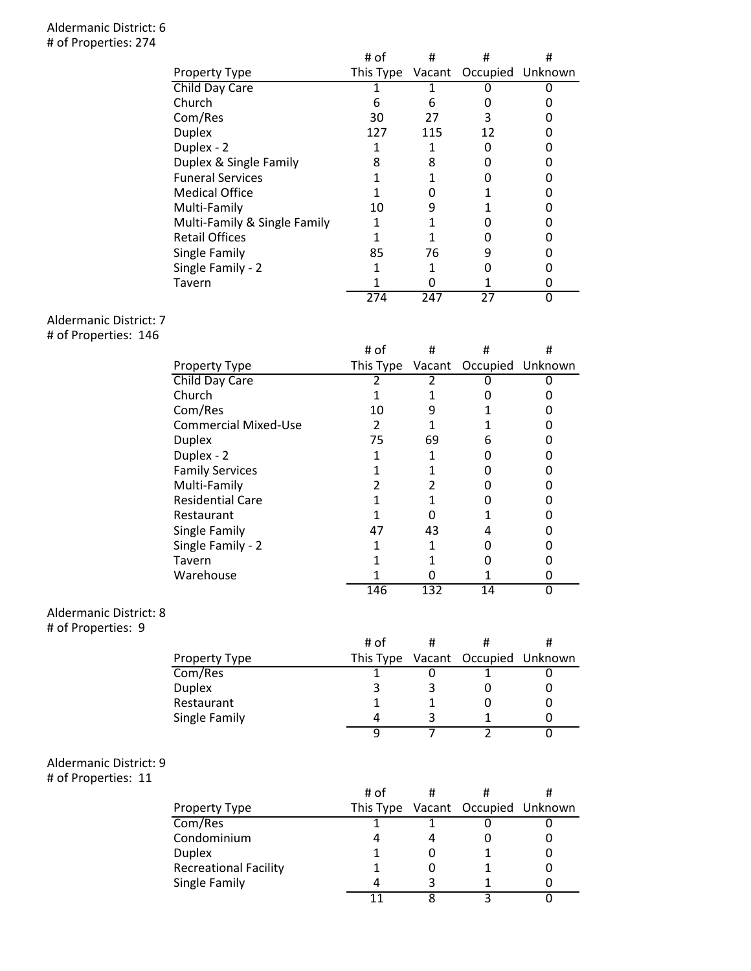#### Aldermanic District: 6 # of Properties: 274

|                              | # of | #   | #                                 | # |
|------------------------------|------|-----|-----------------------------------|---|
| Property Type                |      |     | This Type Vacant Occupied Unknown |   |
| Child Day Care               |      |     |                                   |   |
| Church                       | 6    | 6   |                                   |   |
| Com/Res                      | 30   | 27  | 3                                 |   |
| <b>Duplex</b>                | 127  | 115 | 12                                |   |
| Duplex - 2                   |      |     |                                   |   |
| Duplex & Single Family       | 8    | 8   |                                   |   |
| <b>Funeral Services</b>      |      |     |                                   |   |
| <b>Medical Office</b>        |      |     |                                   |   |
| Multi-Family                 | 10   | 9   |                                   |   |
| Multi-Family & Single Family |      |     |                                   |   |
| <b>Retail Offices</b>        |      |     |                                   |   |
| Single Family                | 85   | 76  |                                   |   |
| Single Family - 2            |      |     |                                   |   |
| Tavern                       |      |     |                                   |   |
|                              | 274  | 247 | 27                                | U |

# Aldermanic District: 7

# of Properties: 146

|                             | # of      | #   | #                       | # |
|-----------------------------|-----------|-----|-------------------------|---|
| <b>Property Type</b>        | This Type |     | Vacant Occupied Unknown |   |
| Child Day Care              |           |     |                         |   |
| Church                      |           |     |                         |   |
| Com/Res                     | 10        |     |                         |   |
| <b>Commercial Mixed-Use</b> | 2         |     |                         |   |
| <b>Duplex</b>               | 75        | 69  | 6                       |   |
| Duplex - 2                  |           |     |                         |   |
| <b>Family Services</b>      |           |     |                         |   |
| Multi-Family                |           |     |                         |   |
| <b>Residential Care</b>     |           |     |                         |   |
| Restaurant                  |           |     |                         |   |
| Single Family               | 47        | 43  |                         |   |
| Single Family - 2           |           |     |                         |   |
| Tavern                      |           |     |                         |   |
| Warehouse                   |           |     |                         |   |
|                             | 146       | 132 | 14                      |   |

#### Aldermanic District: 8

# of Properties: 9

|               | # of |                                   |  |
|---------------|------|-----------------------------------|--|
| Property Type |      | This Type Vacant Occupied Unknown |  |
| Com/Res       |      |                                   |  |
| <b>Duplex</b> |      |                                   |  |
| Restaurant    |      |                                   |  |
| Single Family |      |                                   |  |
|               |      |                                   |  |

## Aldermanic District: 9

# of Properties: 11

|                              | # of |                                   |  |
|------------------------------|------|-----------------------------------|--|
| <b>Property Type</b>         |      | This Type Vacant Occupied Unknown |  |
| Com/Res                      |      |                                   |  |
| Condominium                  |      |                                   |  |
| <b>Duplex</b>                |      |                                   |  |
| <b>Recreational Facility</b> |      |                                   |  |
| Single Family                |      |                                   |  |
|                              |      |                                   |  |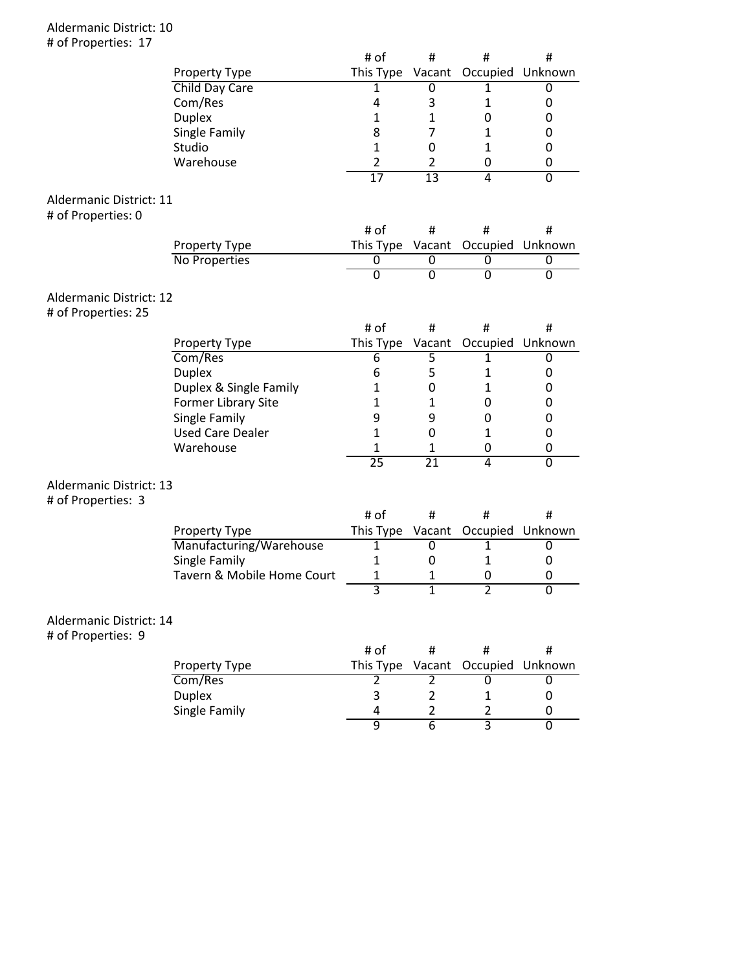#### Aldermanic District: 10 # of Properties: 17

|                                |                            | # of            | #               | #                       | #                |
|--------------------------------|----------------------------|-----------------|-----------------|-------------------------|------------------|
|                                | Property Type              | This Type       |                 | Vacant Occupied Unknown |                  |
|                                | Child Day Care             | 1               | 0               | 1                       | 0                |
|                                | Com/Res                    | 4               | 3               | $\mathbf{1}$            | 0                |
|                                | <b>Duplex</b>              | $\mathbf{1}$    | 1               | $\mathbf 0$             | 0                |
|                                | Single Family              | 8               | $\overline{7}$  | $\mathbf{1}$            | 0                |
|                                | Studio                     | $\mathbf{1}$    | 0               | $\mathbf{1}$            | 0                |
|                                | Warehouse                  | $\overline{2}$  | $\overline{2}$  | 0                       | 0                |
|                                |                            | $\overline{17}$ | $\overline{13}$ | 4                       | 0                |
|                                |                            |                 |                 |                         |                  |
| Aldermanic District: 11        |                            |                 |                 |                         |                  |
| # of Properties: 0             |                            |                 |                 |                         |                  |
|                                |                            | # of            | #               | #                       | #                |
|                                | Property Type              | This Type       |                 | Vacant Occupied Unknown |                  |
|                                | No Properties              | 0               | 0               | 0                       | 0                |
|                                |                            | $\overline{0}$  | $\overline{0}$  | $\overline{0}$          | $\overline{0}$   |
| <b>Aldermanic District: 12</b> |                            |                 |                 |                         |                  |
| # of Properties: 25            |                            |                 |                 |                         |                  |
|                                |                            | # of            | Ħ.              | #                       | #                |
|                                | Property Type              | This Type       |                 | Vacant Occupied Unknown |                  |
|                                | Com/Res                    | 6               | 5               | $\mathbf{1}$            | 0                |
|                                | <b>Duplex</b>              | 6               | 5               | $\mathbf{1}$            | 0                |
|                                | Duplex & Single Family     | $\mathbf{1}$    | 0               | $\mathbf{1}$            | 0                |
|                                | Former Library Site        | 1               | $\mathbf{1}$    | 0                       | 0                |
|                                | Single Family              | 9               | 9               | 0                       | 0                |
|                                | <b>Used Care Dealer</b>    | $\mathbf{1}$    | 0               | $\mathbf{1}$            | 0                |
|                                | Warehouse                  | 1               | 1               | 0                       | 0                |
|                                |                            | $\overline{25}$ | $\overline{21}$ | $\overline{4}$          | $\overline{0}$   |
|                                |                            |                 |                 |                         |                  |
| Aldermanic District: 13        |                            |                 |                 |                         |                  |
| # of Properties: 3             |                            |                 |                 |                         |                  |
|                                |                            | # of            | #               | #                       | #                |
|                                | Property Type              | This Type       | Vacant          |                         | Occupied Unknown |
|                                | Manufacturing/Warehouse    | $\overline{1}$  | 0               | 1                       | 0                |
|                                | Single Family              | $\mathbf{1}$    | 0               | $\mathbf{1}$            | 0                |
|                                | Tavern & Mobile Home Court | $\mathbf 1$     | 1               | 0                       | 0                |
|                                |                            | 3               | $\overline{1}$  | $\overline{2}$          | $\overline{0}$   |
|                                |                            |                 |                 |                         |                  |
| Aldermanic District: 14        |                            |                 |                 |                         |                  |
| # of Properties: 9             |                            |                 |                 |                         |                  |
|                                |                            | # of            | #               | $\sharp$                | #                |
|                                | Property Type              | This Type       | Vacant          | Occupied                | Unknown          |
|                                | Com/Res                    | $\overline{2}$  | 2               | 0                       | 0                |
|                                | <b>Duplex</b>              | 3               | $\overline{2}$  | 1                       | 0                |
|                                | Single Family              | 4               | 2               | 2                       | 0                |
|                                |                            | 9               | $\overline{6}$  | 3                       | $\overline{0}$   |
|                                |                            |                 |                 |                         |                  |